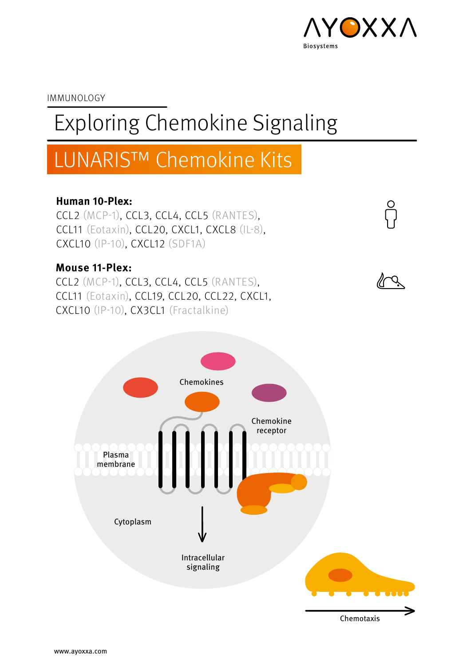

 $\int_0^\infty$ 

IMMUNOLOGY

# Exploring Chemokine Signaling

# LUNARIS™ Chemokine Kits

### **Human 10-Plex:**

CCL2 (MCP-1), CCL3, CCL4, CCL5 (RANTES), CCL11 (Eotaxin), CCL20, CXCL1, CXCL8 (IL-8), CXCL10 (IP-10), CXCL12 (SDF1A)

### **Mouse 11-Plex:**

CCL2 (MCP-1), CCL3, CCL4, CCL5 (RANTES), CCL11 (Eotaxin), CCL19, CCL20, CCL22, CXCL1, CXCL10 (IP-10), CX3CL1 (Fractalkine)



Chemotaxis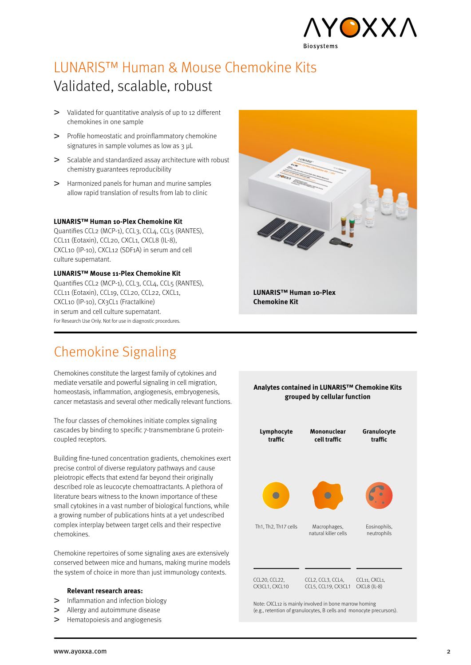

# LUNARIS™ Human & Mouse Chemokine Kits Validated, scalable, robust

- Validated for quantitative analysis of up to 12 different chemokines in one sample
- > Profile homeostatic and proinflammatory chemokine signatures in sample volumes as low as 3  $\mu$ L
- Scalable and standardized assay architecture with robust chemistry guarantees reproducibility
- Harmonized panels for human and murine samples allow rapid translation of results from lab to clinic

#### **LUNARIS™ Human 10-Plex Chemokine Kit**

Quantifies CCL2 (MCP-1), CCL3, CCL4, CCL5 (RANTES), CCL11 (Eotaxin), CCL20, CXCL1, CXCL8 (IL-8), CXCL10 (IP-10), CXCL12 (SDF1A) in serum and cell culture supernatant.

#### **LUNARIS™ Mouse 11-Plex Chemokine Kit**

For Research Use Only. Not for use in diagnostic procedures. Quantifies CCL2 (MCP-1), CCL3, CCL4, CCL5 (RANTES), CCL11 (Eotaxin), CCL19, CCL20, CCL22, CXCL1, CXCL10 (IP-10), CX3CL1 (Fractalkine) in serum and cell culture supernatant.



### Chemokine Signaling

Chemokines constitute the largest family of cytokines and mediate versatile and powerful signaling in cell migration, homeostasis, inflammation, angiogenesis, embryogenesis, cancer metastasis and several other medically relevant functions.

The four classes of chemokines initiate complex signaling cascades by binding to specific 7-transmembrane G proteincoupled receptors.

Building fine-tuned concentration gradients, chemokines exert precise control of diverse regulatory pathways and cause pleiotropic effects that extend far beyond their originally described role as leucocyte chemoattractants. A plethora of literature bears witness to the known importance of these small cytokines in a vast number of biological functions, while a growing number of publications hints at a yet undescribed complex interplay between target cells and their respective chemokines.

Chemokine repertoires of some signaling axes are extensively conserved between mice and humans, making murine models the system of choice in more than just immunology contexts.

#### **Relevant research areas:**

- Inflammation and infection biology  $\geq$
- $\geq$ Allergy and autoimmune disease
- Hematopoiesis and angiogenesis  $\geq$



**Analytes contained in LUNARIS™ Chemokine Kits grouped by cellular function**

Note: CXCL12 is mainly involved in bone marrow homing (e.g., retention of granulocytes, B cells and monocyte precursors).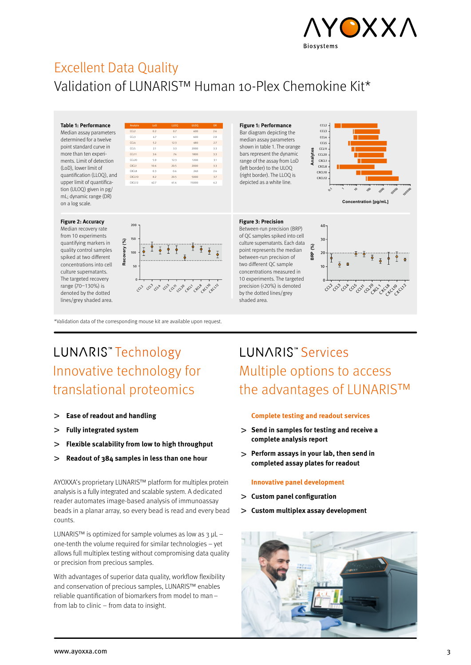

# Excellent Data Quality Validation of LUNARIS™ Human 10-Plex Chemokine Kit\*

#### **Table 1: Performance**

Median assay parameters determined for a twelve point standard curve in more than ten experiments. Limit of detection (LoD), lower limit of quantification (LLOQ), and upper limit of quantification (ULOQ) given in pg/ mL; dynamic range (DR) on a log scale.

#### CCL2  $\overline{c}$ CCL4 CCL5 CCL11 CCL<sub>20</sub> CXCL1 CXCL8 CXCL10 CXCL12 0.2 4.7 5.2 2.1 3.6 5.9 10.6 0.3 8.2 42.7 0.7 6.1 12.3 3.3 7.4 12.3 20.5 0.4 20.5 61.4 2.6 2.8 2.7 3.3 3.3 3.1 3.3 2.4 3.7 4.2 400 600 480 2000 1800 1200 2000 240 5000 15000

#### **Figure 2: Accuracy**

Median recovery rate from 10 experiments quantifying markers in quality control samples spiked at two different concentrations into cell culture supernatants. The targeted recovery range (70–130%) is denoted by the dotted lines/grey shaded area.



\*Validation data of the corresponding mouse kit are available upon request.

#### **Figure 1: Performance** Bar diagram depicting the

median assay parameters shown in table 1. The orange bars represent the dynamic range of the assay from LoD (left border) to the ULOQ (right border). The LLOQ is depicted as a white line.



#### **Figure 3: Precision**

Between-run precision (BRP) of QC samples spiked into cell culture supernatants. Each data point represents the median between-run precision of two different QC sample concentrations measured in 10 experiments. The targeted precision (<20%) is denoted by the dotted lines/grey shaded area.



## LUNARIS<sup>\*</sup>Technology Innovative technology for translational proteomics

- **Ease of readout and handling**  $\geq$
- **Fully integrated system**  $\mathbf{I}$
- **Flexible scalability from low to high throughput**  $\mathbf{v}$
- **Readout of 384 samples in less than one hour**  $\geq$

AYOXXA's proprietary LUNARIS™ platform for multiplex protein analysis is a fully integrated and scalable system. A dedicated reader automates image-based analysis of immunoassay beads in a planar array, so every bead is read and every bead counts.

LUNARIS™ is optimized for sample volumes as low as  $3$  µL – one-tenth the volume required for similar technologies – yet allows full multiplex testing without compromising data quality or precision from precious samples.

With advantages of superior data quality, workflow flexibility and conservation of precious samples, LUNARIS™ enables reliable quantification of biomarkers from model to man– from lab to clinic – from data to insight.

# **LUNARIS<sup>™</sup> Services** Multiple options to access the advantages of LUNARIS™

#### **Complete testing and readout services**

- **Send in samples for testing and receive a complete analysis report**
- **Perform assays in your lab, then send in completed assay plates for readout**

#### **Innovative panel development**

- **Custom panel configuration**
- **Custom multiplex assay development**